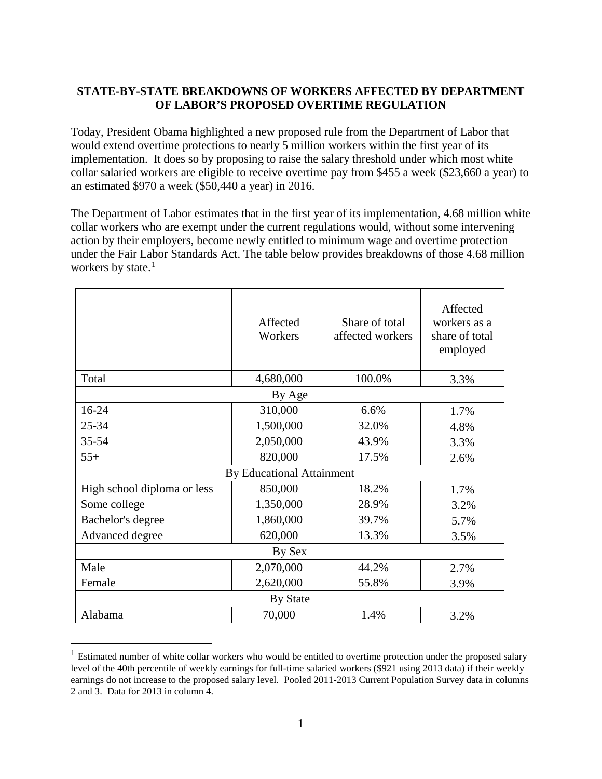## **STATE-BY-STATE BREAKDOWNS OF WORKERS AFFECTED BY DEPARTMENT OF LABOR'S PROPOSED OVERTIME REGULATION**

Today, President Obama highlighted a new proposed rule from the Department of Labor that would extend overtime protections to nearly 5 million workers within the first year of its implementation. It does so by proposing to raise the salary threshold under which most white collar salaried workers are eligible to receive overtime pay from \$455 a week (\$23,660 a year) to an estimated \$970 a week (\$50,440 a year) in 2016.

The Department of Labor estimates that in the first year of its implementation, 4.68 million white collar workers who are exempt under the current regulations would, without some intervening action by their employers, become newly entitled to minimum wage and overtime protection under the Fair Labor Standards Act. The table below provides breakdowns of those 4.68 million workers by state. $<sup>1</sup>$  $<sup>1</sup>$  $<sup>1</sup>$ </sup>

|                                  | Affected<br>Workers | Share of total<br>affected workers | Affected<br>workers as a<br>share of total<br>employed |  |  |
|----------------------------------|---------------------|------------------------------------|--------------------------------------------------------|--|--|
| Total                            | 4,680,000           | 100.0%                             | 3.3%                                                   |  |  |
| By Age                           |                     |                                    |                                                        |  |  |
| 16-24                            | 310,000             | 6.6%                               | 1.7%                                                   |  |  |
| 25-34                            | 1,500,000           | 32.0%                              | 4.8%                                                   |  |  |
| $35 - 54$                        | 2,050,000           | 43.9%                              | 3.3%                                                   |  |  |
| $55+$                            | 820,000             | 17.5%                              | 2.6%                                                   |  |  |
| <b>By Educational Attainment</b> |                     |                                    |                                                        |  |  |
| High school diploma or less      | 850,000             | 18.2%                              | 1.7%                                                   |  |  |
| Some college                     | 1,350,000           | 28.9%                              | 3.2%                                                   |  |  |
| Bachelor's degree                | 1,860,000           | 39.7%                              | 5.7%                                                   |  |  |
| Advanced degree                  | 620,000             | 13.3%                              | 3.5%                                                   |  |  |
| By Sex                           |                     |                                    |                                                        |  |  |
| Male                             | 2,070,000           | 44.2%                              | 2.7%                                                   |  |  |
| Female                           | 2,620,000           | 55.8%                              | 3.9%                                                   |  |  |
| <b>By State</b>                  |                     |                                    |                                                        |  |  |
| Alabama                          | 70,000              | 1.4%                               | 3.2%                                                   |  |  |

<span id="page-0-0"></span> $1$  Estimated number of white collar workers who would be entitled to overtime protection under the proposed salary level of the 40th percentile of weekly earnings for full-time salaried workers (\$921 using 2013 data) if their weekly earnings do not increase to the proposed salary level. Pooled 2011-2013 Current Population Survey data in columns 2 and 3. Data for 2013 in column 4.

 $\overline{a}$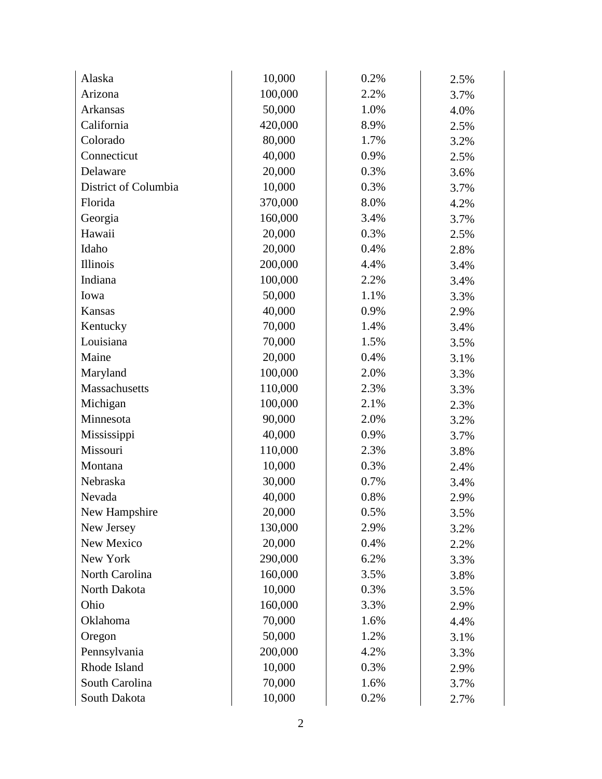| Alaska               | 10,000  | 0.2% | 2.5% |
|----------------------|---------|------|------|
| Arizona              | 100,000 | 2.2% | 3.7% |
| <b>Arkansas</b>      | 50,000  | 1.0% | 4.0% |
| California           | 420,000 | 8.9% | 2.5% |
| Colorado             | 80,000  | 1.7% | 3.2% |
| Connecticut          | 40,000  | 0.9% | 2.5% |
| Delaware             | 20,000  | 0.3% | 3.6% |
| District of Columbia | 10,000  | 0.3% | 3.7% |
| Florida              | 370,000 | 8.0% | 4.2% |
| Georgia              | 160,000 | 3.4% | 3.7% |
| Hawaii               | 20,000  | 0.3% | 2.5% |
| Idaho                | 20,000  | 0.4% | 2.8% |
| <b>Illinois</b>      | 200,000 | 4.4% | 3.4% |
| Indiana              | 100,000 | 2.2% | 3.4% |
| Iowa                 | 50,000  | 1.1% | 3.3% |
| Kansas               | 40,000  | 0.9% | 2.9% |
| Kentucky             | 70,000  | 1.4% | 3.4% |
| Louisiana            | 70,000  | 1.5% | 3.5% |
| Maine                | 20,000  | 0.4% | 3.1% |
| Maryland             | 100,000 | 2.0% | 3.3% |
| Massachusetts        | 110,000 | 2.3% | 3.3% |
| Michigan             | 100,000 | 2.1% | 2.3% |
| Minnesota            | 90,000  | 2.0% | 3.2% |
| Mississippi          | 40,000  | 0.9% | 3.7% |
| Missouri             | 110,000 | 2.3% | 3.8% |
| Montana              | 10,000  | 0.3% | 2.4% |
| Nebraska             | 30,000  | 0.7% | 3.4% |
| Nevada               | 40,000  | 0.8% | 2.9% |
| New Hampshire        | 20,000  | 0.5% | 3.5% |
| New Jersey           | 130,000 | 2.9% | 3.2% |
| New Mexico           | 20,000  | 0.4% | 2.2% |
| New York             | 290,000 | 6.2% | 3.3% |
| North Carolina       | 160,000 | 3.5% | 3.8% |
| North Dakota         | 10,000  | 0.3% | 3.5% |
| Ohio                 | 160,000 | 3.3% | 2.9% |
| Oklahoma             | 70,000  | 1.6% | 4.4% |
| Oregon               | 50,000  | 1.2% | 3.1% |
| Pennsylvania         | 200,000 | 4.2% | 3.3% |
| Rhode Island         | 10,000  | 0.3% | 2.9% |
| South Carolina       | 70,000  | 1.6% | 3.7% |
| South Dakota         | 10,000  | 0.2% | 2.7% |